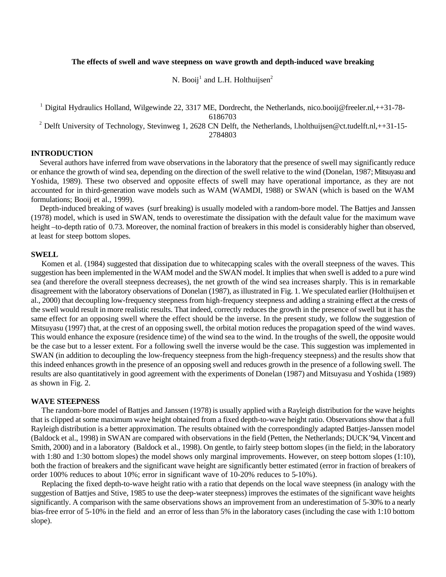## **The effects of swell and wave steepness on wave growth and depth-induced wave breaking**

N. Booij<sup>1</sup> and L.H. Holthuijsen<sup>2</sup>

<sup>1</sup> Digital Hydraulics Holland, Wilgewinde 22, 3317 ME, Dordrecht, the Netherlands, nico.booij@freeler.nl,++31-78-

6186703

<sup>2</sup> Delft University of Technology, Stevinweg 1, 2628 CN Delft, the Netherlands, l.holthuijsen@ct.tudelft.nl,++31-15-

2784803

# **INTRODUCTION**

Several authors have inferred from wave observations in the laboratory that the presence of swell may significantly reduce or enhance the growth of wind sea, depending on the direction of the swell relative to the wind (Donelan, 1987; Mitsuyasu and Yoshida, 1989). These two observed and opposite effects of swell may have operational importance, as they are not accounted for in third-generation wave models such as WAM (WAMDI, 1988) or SWAN (which is based on the WAM formulations; Booij et al., 1999).

Depth-induced breaking of waves (surf breaking) is usually modeled with a random-bore model. The Battjes and Janssen (1978) model, which is used in SWAN, tends to overestimate the dissipation with the default value for the maximum wave height –to-depth ratio of 0.73. Moreover, the nominal fraction of breakers in this model is considerably higher than observed, at least for steep bottom slopes.

### **SWELL**

Komen et al. (1984) suggested that dissipation due to whitecapping scales with the overall steepness of the waves. This suggestion has been implemented in the WAM model and the SWAN model. It implies that when swell is added to a pure wind sea (and therefore the overall steepness decreases), the net growth of the wind sea increases sharply. This is in remarkable disagreement with the laboratory observations of Donelan (1987), as illustrated in Fig. 1. We speculated earlier (Holthuijsen et al., 2000) that decoupling low-frequency steepness from high-frequency steepness and adding a straining effect at the crests of the swell would result in more realistic results. That indeed, correctly reduces the growth in the presence of swell but it has the same effect for an opposing swell where the effect should be the inverse. In the present study, we follow the suggestion of Mitsuyasu (1997) that, at the crest of an opposing swell, the orbital motion reduces the propagation speed of the wind waves. This would enhance the exposure (residence time) of the wind sea to the wind. In the troughs of the swell, the opposite would be the case but to a lesser extent. For a following swell the inverse would be the case. This suggestion was implemented in SWAN (in addition to decoupling the low-frequency steepness from the high-frequency steepness) and the results show that this indeed enhances growth in the presence of an opposing swell and reduces growth in the presence of a following swell. The results are also quantitatively in good agreement with the experiments of Donelan (1987) and Mitsuyasu and Yoshida (1989) as shown in Fig. 2.

## **WAVE STEEPNESS**

The random-bore model of Battjes and Janssen (1978) is usually applied with a Rayleigh distribution for the wave heights that is clipped at some maximum wave height obtained from a fixed depth-to-wave height ratio. Observations show that a full Rayleigh distribution is a better approximation. The results obtained with the correspondingly adapted Battjes-Janssen model (Baldock et al., 1998) in SWAN are compared with observations in the field (Petten, the Netherlands; DUCK'94, Vincent and Smith, 2000) and in a laboratory (Baldock et al., 1998). On gentle, to fairly steep bottom slopes (in the field; in the laboratory with 1:80 and 1:30 bottom slopes) the model shows only marginal improvements. However, on steep bottom slopes (1:10), both the fraction of breakers and the significant wave height are significantly better estimated (error in fraction of breakers of order 100% reduces to about 10%; error in significant wave of 10-20% reduces to 5-10%).

Replacing the fixed depth-to-wave height ratio with a ratio that depends on the local wave steepness (in analogy with the suggestion of Battjes and Stive, 1985 to use the deep-water steepness) improves the estimates of the significant wave heights significantly. A comparison with the same observations shows an improvement from an underestimation of 5-30% to a nearly bias-free error of 5-10% in the field and an error of less than 5% in the laboratory cases (including the case with 1:10 bottom slope).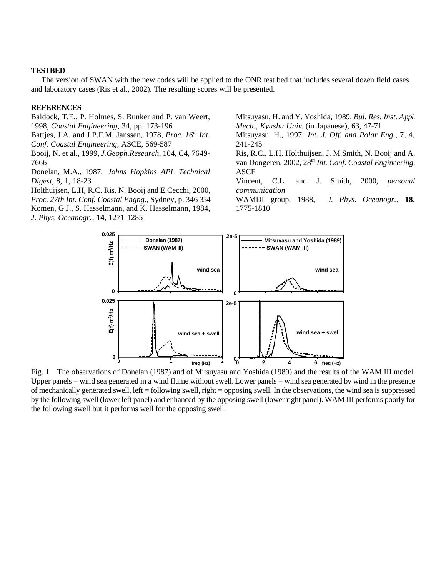#### **TESTBED**

The version of SWAN with the new codes will be applied to the ONR test bed that includes several dozen field cases and laboratory cases (Ris et al., 2002). The resulting scores will be presented.

### **REFERENCES**

Baldock, T.E., P. Holmes, S. Bunker and P. van Weert, 1998, *Coastal Engineering*, 34, pp. 173-196

Battjes, J.A. and J.P.F.M. Janssen, 1978, *Proc. 16th Int. Conf. Coastal Engineering*, ASCE, 569-587

Booij, N. et al., 1999, *J.Geoph.Research*, 104, C4, 7649- 7666

Donelan, M.A., 1987, *Johns Hopkins APL Technical Digest*, 8, 1, 18-23

Holthuijsen, L.H, R.C. Ris, N. Booij and E.Cecchi, 2000, *Proc. 27th Int. Conf. Coastal Engng*., Sydney, p. 346-354 Komen, G.J., S. Hasselmann, and K. Hasselmann, 1984, *J. Phys. Oceanogr.*, **14**, 1271-1285

Mitsuyasu, H. and Y. Yoshida, 1989*, Bul. Res. Inst. Appl. Mech., Kyushu Univ*. (in Japanese), 63, 47-71

Mitsuyasu, H., 1997, *Int. J. Off. and Polar Eng*., 7, 4, 241-245

Ris, R.C., L.H. Holthuijsen, J. M.Smith, N. Booij and A. van Dongeren, 2002, 28*th Int. Conf. Coastal Engineering*, ASCE

Vincent, C.L. and J. Smith, 2000, *personal communication*

WAMDI group, 1988, *J. Phys. Oceanogr.*, **18**, 1775-1810



Fig. 1 The observations of Donelan (1987) and of Mitsuyasu and Yoshida (1989) and the results of the WAM III model. Upper panels = wind sea generated in a wind flume without swell. Lower panels = wind sea generated by wind in the presence of mechanically generated swell, left = following swell, right = opposing swell. In the observations, the wind sea is suppressed by the following swell (lower left panel) and enhanced by the opposing swell (lower right panel). WAM III performs poorly for the following swell but it performs well for the opposing swell.